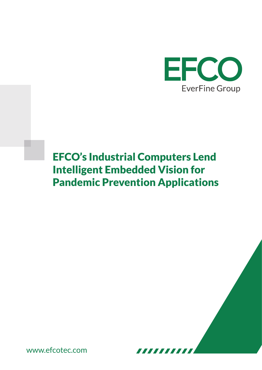

# EFCO's Industrial Computers Lend Intelligent Embedded Vision for Pandemic Prevention Applications

,,,,,,,,

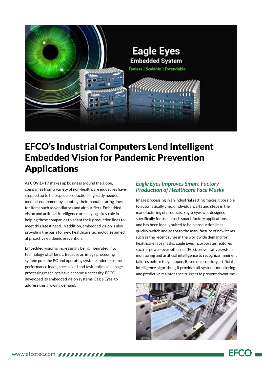

### EFCO's Industrial Computers Lend Intelligent Embedded Vision for Pandemic Prevention Applications

As COVID-19 shakes up business around the globe, companies from a variety of non-healthcare industries have stepped up to help speed production of greatly needed medical equipment by adapting their manufacturing lines for items such as ventilators and air purifiers. Embedded vision and artificial intelligence are playing a key role in helping these companies to adapt their production lines to meet this latest need. In addition, embedded vision is also providing the basis for new healthcare technologies aimed at proactive epidemic prevention.

Embedded vision is increasingly being integrated into technology of all kinds. Because an image processing system puts the PC and operating system under extreme performance loads, specialized and task-optimized image processing machines have become a necessity. EFCO developed its embedded vision systems, Eagle Eyes, to address this growing demand.

#### *Eagle Eyes Improves Smart-Factory Production of Healthcare Face Masks*

Image processing in an industrial setting makes it possible to automatically check individual parts and steps in the manufacturing of products. Eagle Eyes was designed specifically for use in such smart-factory applications, and has been ideally suited to help production lines quickly switch and adapt to the manufacture of new items such as the recent surge in the worldwide demand for healthcare face masks. Eagle Eyes incorporates features such as power-over-ethernet (PoE), preventative system monitoring and artificial intelligence to recognize imminent failures before they happen. Based on propriety artificial intelligence algorithms, it provides all-systems monitoring and predictive maintenance triggers to prevent downtime.



FFCO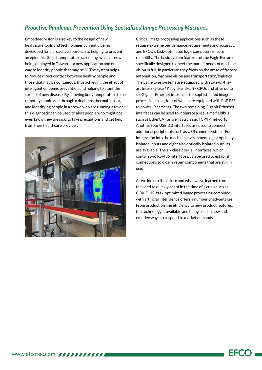#### *Proactive Pandemic Prevention Using Specialized Image Processing Machines*

Embedded vision is also key to the design of new healthcare tools and technologies currently being developed for a proactive approach to helping to prevent an epidemic. Smart temperature screening, which is now being deployed in Taiwan, is a new application and one way to identify people that may be ill. The system helps to reduce direct contact between healthy people and those that may be contagious, thus achieving the effect of intelligent epidemic prevention and helping to stunt the spread of new disease. By allowing body temperature to be remotely monitored through a dual-lens thermal sensor, and identifying people in a crowd who are running a fever, this diagnostic can be used to alert people who might not even know they are sick, to take precautions and get help from their healthcare provider.



Critical image processing applications such as these require extreme performance requirements and accuracy, and EFCO's task-optimated logic computers ensure reliability. The basic system features of the Eagle Eye are specifically designed to meet the market needs of machine vision in full. In particular, they focus on the areas of factory automation, machine vision and transportation/logistics. The Eagle Eyes systems are equipped with state-of-theart Intel Skylake / Kabylake i3/i5/i7 CPUs and offer up to six Gigabit Ethernet interfaces for sophisticated image processing tasks, four of which are equipped with PoE PSE to power IP cameras. The two remaining Gigabit Ethernet interfaces can be used to integrate a real-time fieldbus such as EtherCAT as well as a classic TCP/IP network. Another four USB 3.0 interfaces are used to connect additional peripherals such as USB camera systems. For integration into the machine environment, eight optically isolated inputs and eight also optically isolated outputs are available. The six classic serial interfaces, which contain two RS-485 interfaces, can be used to establish connections to older system components that are still in use.

As we look to the future and what we've learned from the need to quickly adapt in the time of a crisis such as COVID-19, task-optimized image processing combined with artificial intelligence offers a number of advantages. From production line efficiency to new product features, the technology is available and being used in new and creative ways to respond to market demands.